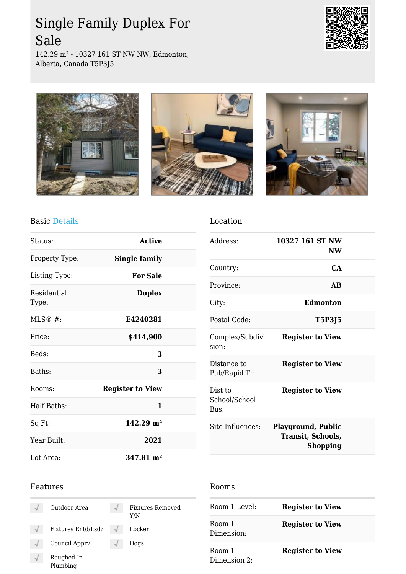# Single Family Duplex For Sale

142.29 m² - 10327 161 ST NW NW, Edmonton, Alberta, Canada T5P3J5







Location



### Basic Details

| Status:              | <b>Active</b>           |  |
|----------------------|-------------------------|--|
| Property Type:       | <b>Single family</b>    |  |
| Listing Type:        | <b>For Sale</b>         |  |
| Residential<br>Type: | <b>Duplex</b>           |  |
| $MLS@#$ :            | E4240281                |  |
| Price:               | \$414,900               |  |
| Beds:                | 3                       |  |
| Baths:               | 3                       |  |
| Rooms:               | <b>Register to View</b> |  |
| <b>Half Baths:</b>   | 1                       |  |
| Sq Ft:               | $142.29 \text{ m}^2$    |  |
| Year Built:          | 2021                    |  |
| Lot Area:            | $347.81 \text{ m}^2$    |  |

### Address: **10327 161 ST NW NW** Country: **CA** Province: **AB** City: **Edmonton** Postal Code: **T5P3J5** Complex/Subdivi sion: **Register to View** Distance to Pub/Rapid Tr: **Register to View** Dist to School/School Bus: **Register to View** Site Influences: **Playground, Public Transit, Schools, Shopping**

#### Features

| Outdoor Area           | <b>Fixtures Removed</b><br>Y/N |
|------------------------|--------------------------------|
| Fixtures Rntd/Lsd?     | Locker                         |
| Council Apprv          | Dogs                           |
| Roughed In<br>Plumbing |                                |

#### Rooms

| Room 1 Level:                 | <b>Register to View</b> |
|-------------------------------|-------------------------|
| Room 1<br>Dimension:          | <b>Register to View</b> |
| Room 1<br>Dimension $2 \cdot$ | <b>Register to View</b> |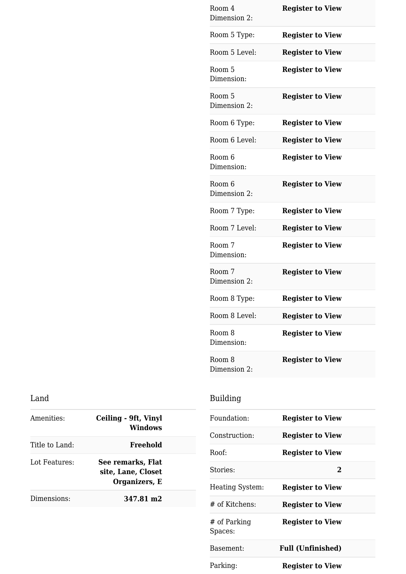| Room 4<br>Dimension 2: | <b>Register to View</b> |
|------------------------|-------------------------|
| Room 5 Type:           | <b>Register to View</b> |
| Room 5 Level:          | <b>Register to View</b> |
| Room 5<br>Dimension:   | <b>Register to View</b> |
| Room 5<br>Dimension 2: | <b>Register to View</b> |
| Room 6 Type:           | <b>Register to View</b> |
| Room 6 Level:          | <b>Register to View</b> |
| Room 6<br>Dimension:   | <b>Register to View</b> |
| Room 6<br>Dimension 2: | <b>Register to View</b> |
| Room 7 Type:           | <b>Register to View</b> |
| Room 7 Level:          | <b>Register to View</b> |
| Room 7<br>Dimension:   | <b>Register to View</b> |
| Room 7<br>Dimension 2: | <b>Register to View</b> |
| Room 8 Type:           | <b>Register to View</b> |
| Room 8 Level:          | <b>Register to View</b> |
| Room 8<br>Dimension:   | <b>Register to View</b> |
| Room 8<br>Dimension 2: | <b>Register to View</b> |

### Land

| Amenities:     | Ceiling - 9ft, Vinyl<br><b>Windows</b>                   |
|----------------|----------------------------------------------------------|
| Title to Land: | Freehold                                                 |
| Lot Features:  | See remarks, Flat<br>site, Lane, Closet<br>Organizers, E |
| Dimensions:    | 347.81 m2                                                |
|                |                                                          |

## Building

| Foundation:             | <b>Register to View</b>  |  |
|-------------------------|--------------------------|--|
| Construction:           | <b>Register to View</b>  |  |
| Roof:                   | <b>Register to View</b>  |  |
| Stories:                | $\bf{2}$                 |  |
| <b>Heating System:</b>  | <b>Register to View</b>  |  |
| # of Kitchens:          | <b>Register to View</b>  |  |
| # of Parking<br>Spaces: | <b>Register to View</b>  |  |
| Basement:               | <b>Full (Unfinished)</b> |  |
| Parking:                | <b>Register to View</b>  |  |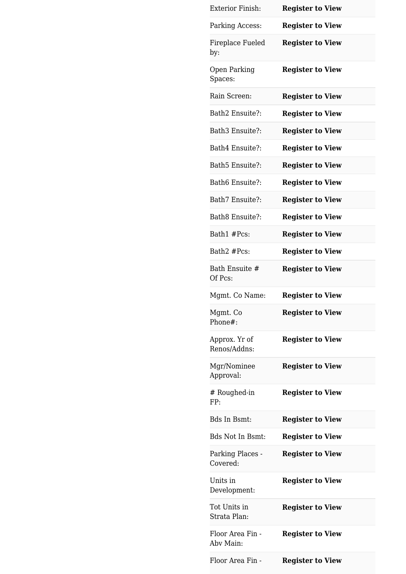| <b>Exterior Finish:</b>       | <b>Register to View</b> |
|-------------------------------|-------------------------|
| Parking Access:               | <b>Register to View</b> |
| Fireplace Fueled<br>by:       | <b>Register to View</b> |
| Open Parking<br>Spaces:       | <b>Register to View</b> |
| Rain Screen:                  | <b>Register to View</b> |
| Bath2 Ensuite?:               | <b>Register to View</b> |
| Bath3 Ensuite?:               | <b>Register to View</b> |
| Bath4 Ensuite?:               | <b>Register to View</b> |
| Bath5 Ensuite?:               | <b>Register to View</b> |
| Bath6 Ensuite?:               | <b>Register to View</b> |
| Bath7 Ensuite?:               | <b>Register to View</b> |
| Bath8 Ensuite?:               | <b>Register to View</b> |
| Bath1 #Pcs:                   | <b>Register to View</b> |
| Bath2 #Pcs:                   | <b>Register to View</b> |
| Bath Ensuite #<br>Of Pcs:     | <b>Register to View</b> |
|                               |                         |
| Mgmt. Co Name:                | <b>Register to View</b> |
| Mgmt. Co<br>Phone#:           | <b>Register to View</b> |
| Approx. Yr of<br>Renos/Addns: | <b>Register to View</b> |
| Mgr/Nominee<br>Approval:      | <b>Register to View</b> |
| # Roughed-in<br>FP:           | <b>Register to View</b> |
| <b>Bds In Bsmt:</b>           | <b>Register to View</b> |
| <b>Bds Not In Bsmt:</b>       | <b>Register to View</b> |
| Parking Places -<br>Covered:  | <b>Register to View</b> |
| Units in<br>Development:      | <b>Register to View</b> |
| Tot Units in<br>Strata Plan:  | <b>Register to View</b> |
| Floor Area Fin -<br>Aby Main: | <b>Register to View</b> |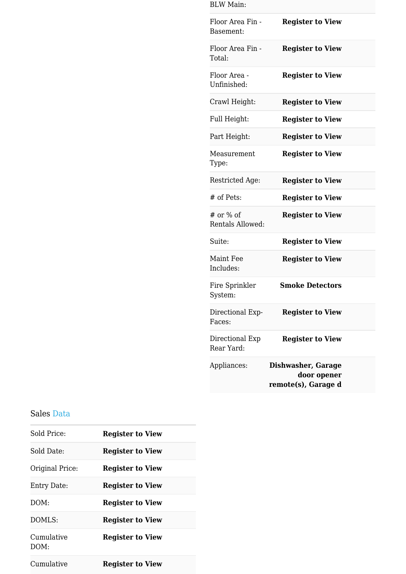| <b>BLW Main:</b>              |                                                          |
|-------------------------------|----------------------------------------------------------|
| Floor Area Fin -<br>Basement: | <b>Register to View</b>                                  |
| Floor Area Fin -<br>Total:    | <b>Register to View</b>                                  |
| Floor Area -<br>Unfinished:   | <b>Register to View</b>                                  |
| Crawl Height:                 | <b>Register to View</b>                                  |
| Full Height:                  | <b>Register to View</b>                                  |
| Part Height:                  | <b>Register to View</b>                                  |
| Measurement<br>Type:          | <b>Register to View</b>                                  |
| Restricted Age:               | <b>Register to View</b>                                  |
| # of Pets:                    | <b>Register to View</b>                                  |
| # or % of<br>Rentals Allowed: | <b>Register to View</b>                                  |
| Suite:                        | <b>Register to View</b>                                  |
| Maint Fee<br>Includes:        | <b>Register to View</b>                                  |
| Fire Sprinkler<br>System:     | <b>Smoke Detectors</b>                                   |
| Directional Exp-<br>Faces:    | <b>Register to View</b>                                  |
| Directional Exp<br>Rear Yard: | <b>Register to View</b>                                  |
| Appliances:                   | Dishwasher, Garage<br>door opener<br>remote(s), Garage d |

#### Sales Data

| Sold Price:        | <b>Register to View</b> |
|--------------------|-------------------------|
| Sold Date:         | <b>Register to View</b> |
| Original Price:    | <b>Register to View</b> |
| Entry Date:        | <b>Register to View</b> |
| DOM:               | <b>Register to View</b> |
| DOMLS:             | <b>Register to View</b> |
| Cumulative<br>DOM: | <b>Register to View</b> |
| Cumulative         | <b>Register to View</b> |